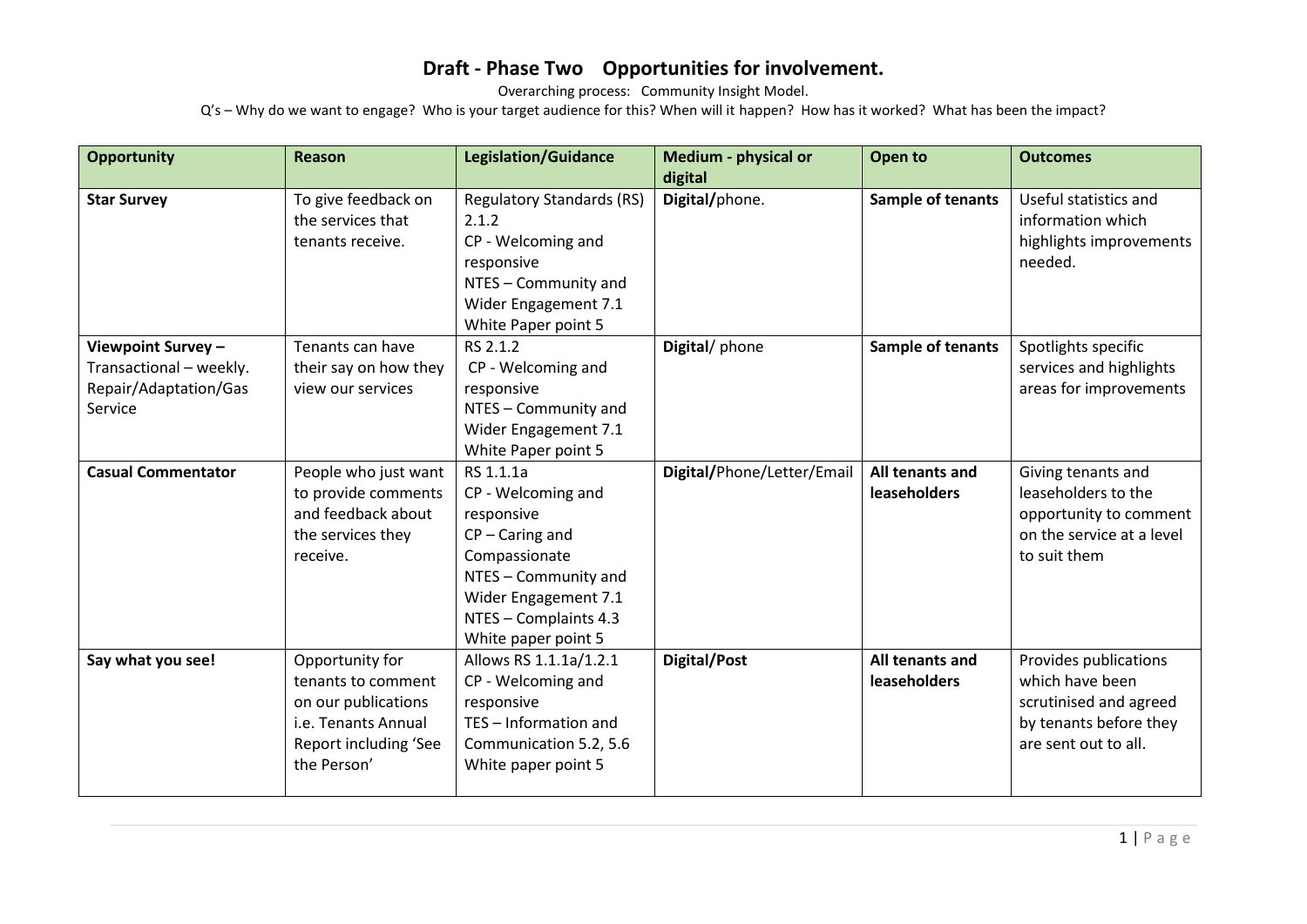Overarching process: Community Insight Model.

| <b>Opportunity</b>                                                                | <b>Reason</b>                                                                                                               | <b>Legislation/Guidance</b>                                                                                                                                                         | Medium - physical or<br>digital | Open to                                | <b>Outcomes</b>                                                                                                      |
|-----------------------------------------------------------------------------------|-----------------------------------------------------------------------------------------------------------------------------|-------------------------------------------------------------------------------------------------------------------------------------------------------------------------------------|---------------------------------|----------------------------------------|----------------------------------------------------------------------------------------------------------------------|
| <b>Star Survey</b>                                                                | To give feedback on<br>the services that<br>tenants receive.                                                                | <b>Regulatory Standards (RS)</b><br>2.1.2<br>CP - Welcoming and<br>responsive<br>NTES - Community and<br>Wider Engagement 7.1<br>White Paper point 5                                | Digital/phone.                  | Sample of tenants                      | Useful statistics and<br>information which<br>highlights improvements<br>needed.                                     |
| Viewpoint Survey -<br>Transactional - weekly.<br>Repair/Adaptation/Gas<br>Service | Tenants can have<br>their say on how they<br>view our services                                                              | RS 2.1.2<br>CP - Welcoming and<br>responsive<br>NTES - Community and<br>Wider Engagement 7.1<br>White Paper point 5                                                                 | Digital/phone                   | Sample of tenants                      | Spotlights specific<br>services and highlights<br>areas for improvements                                             |
| <b>Casual Commentator</b>                                                         | People who just want<br>to provide comments<br>and feedback about<br>the services they<br>receive.                          | RS 1.1.1a<br>CP - Welcoming and<br>responsive<br>$CP - Caring$ and<br>Compassionate<br>NTES - Community and<br>Wider Engagement 7.1<br>NTES - Complaints 4.3<br>White paper point 5 | Digital/Phone/Letter/Email      | All tenants and<br><b>leaseholders</b> | Giving tenants and<br>leaseholders to the<br>opportunity to comment<br>on the service at a level<br>to suit them     |
| Say what you see!                                                                 | Opportunity for<br>tenants to comment<br>on our publications<br>i.e. Tenants Annual<br>Report including 'See<br>the Person' | Allows RS 1.1.1a/1.2.1<br>CP - Welcoming and<br>responsive<br>TES - Information and<br>Communication 5.2, 5.6<br>White paper point 5                                                | Digital/Post                    | All tenants and<br><b>leaseholders</b> | Provides publications<br>which have been<br>scrutinised and agreed<br>by tenants before they<br>are sent out to all. |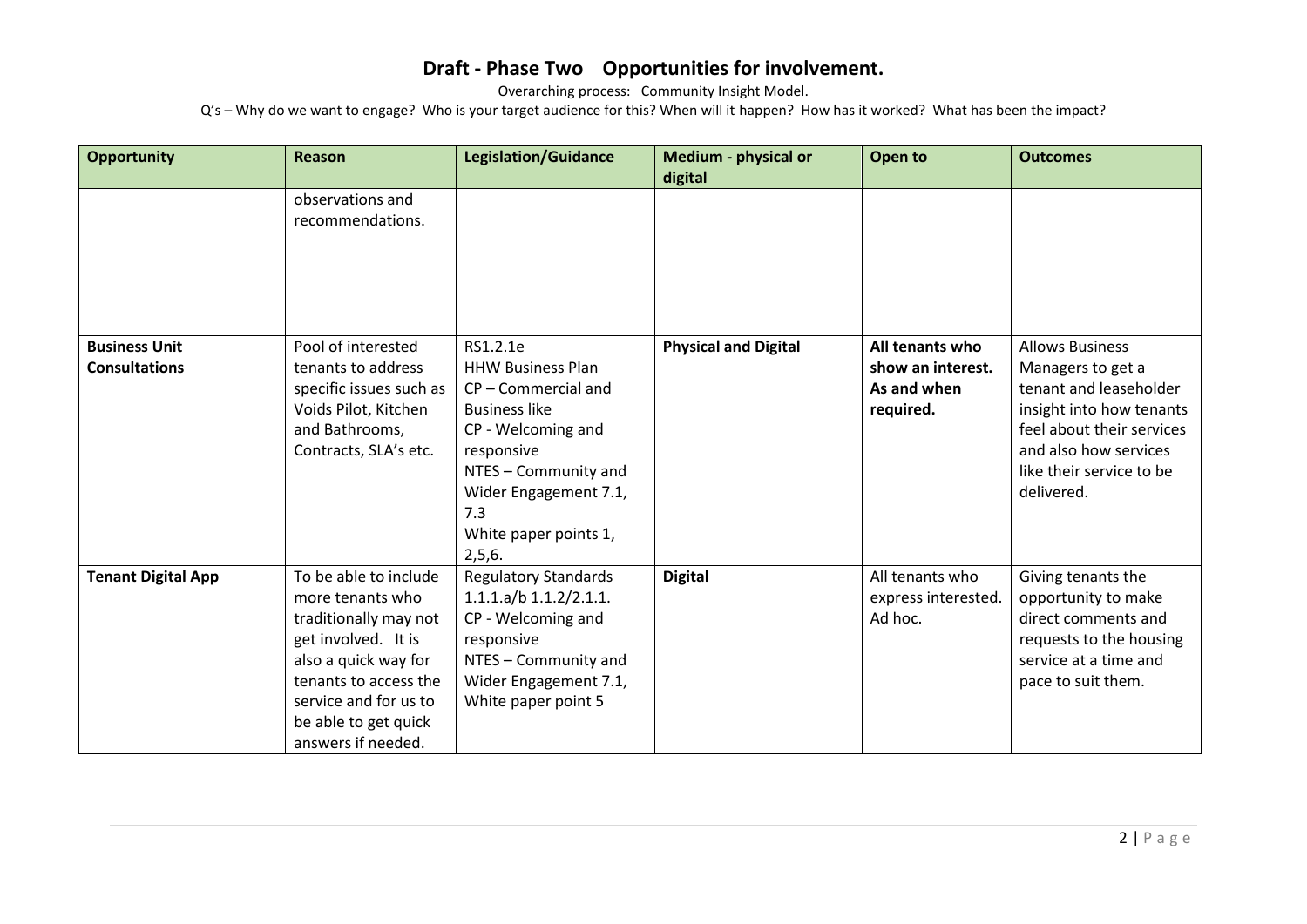Overarching process: Community Insight Model.

| <b>Opportunity</b>                           | <b>Reason</b>                                                                                                                                                                                                     | <b>Legislation/Guidance</b>                                                                                                                                                                                      | Medium - physical or<br>digital | Open to                                                          | <b>Outcomes</b>                                                                                                                                                                                   |
|----------------------------------------------|-------------------------------------------------------------------------------------------------------------------------------------------------------------------------------------------------------------------|------------------------------------------------------------------------------------------------------------------------------------------------------------------------------------------------------------------|---------------------------------|------------------------------------------------------------------|---------------------------------------------------------------------------------------------------------------------------------------------------------------------------------------------------|
|                                              | observations and<br>recommendations.                                                                                                                                                                              |                                                                                                                                                                                                                  |                                 |                                                                  |                                                                                                                                                                                                   |
| <b>Business Unit</b><br><b>Consultations</b> | Pool of interested<br>tenants to address<br>specific issues such as<br>Voids Pilot, Kitchen<br>and Bathrooms,<br>Contracts, SLA's etc.                                                                            | RS1.2.1e<br><b>HHW Business Plan</b><br>CP-Commercial and<br><b>Business like</b><br>CP - Welcoming and<br>responsive<br>NTES - Community and<br>Wider Engagement 7.1,<br>7.3<br>White paper points 1,<br>2,5,6. | <b>Physical and Digital</b>     | All tenants who<br>show an interest.<br>As and when<br>required. | <b>Allows Business</b><br>Managers to get a<br>tenant and leaseholder<br>insight into how tenants<br>feel about their services<br>and also how services<br>like their service to be<br>delivered. |
| <b>Tenant Digital App</b>                    | To be able to include<br>more tenants who<br>traditionally may not<br>get involved. It is<br>also a quick way for<br>tenants to access the<br>service and for us to<br>be able to get quick<br>answers if needed. | <b>Regulatory Standards</b><br>$1.1.1.a/b$ $1.1.2/2.1.1.$<br>CP - Welcoming and<br>responsive<br>NTES - Community and<br>Wider Engagement 7.1,<br>White paper point 5                                            | <b>Digital</b>                  | All tenants who<br>express interested.<br>Ad hoc.                | Giving tenants the<br>opportunity to make<br>direct comments and<br>requests to the housing<br>service at a time and<br>pace to suit them.                                                        |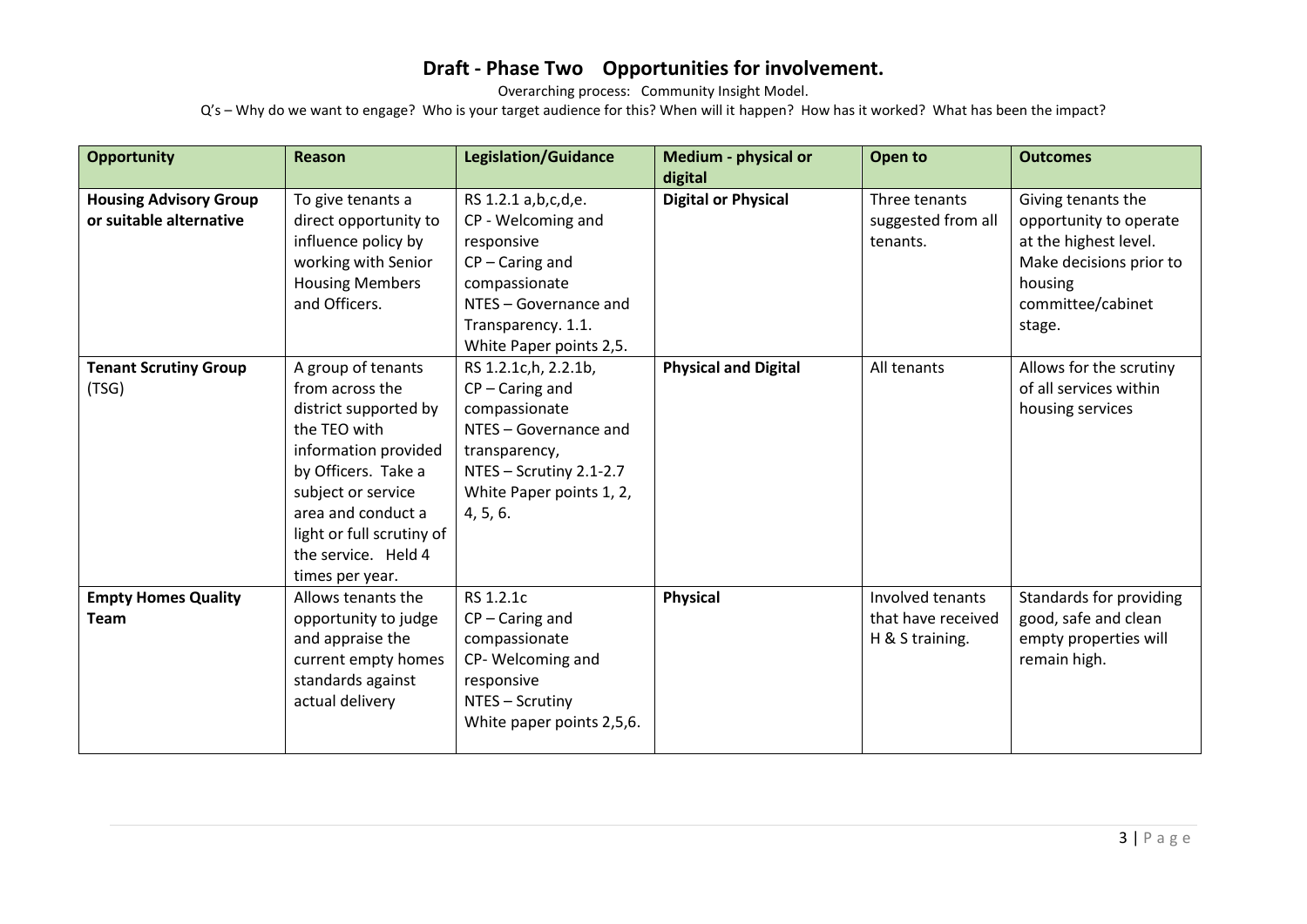Overarching process: Community Insight Model.

| <b>Opportunity</b>                                       | <b>Reason</b>                                                                                                                                                                                                                                    | <b>Legislation/Guidance</b>                                                                                                                                                 | Medium - physical or<br>digital | Open to                                                   | <b>Outcomes</b>                                                                                                                            |
|----------------------------------------------------------|--------------------------------------------------------------------------------------------------------------------------------------------------------------------------------------------------------------------------------------------------|-----------------------------------------------------------------------------------------------------------------------------------------------------------------------------|---------------------------------|-----------------------------------------------------------|--------------------------------------------------------------------------------------------------------------------------------------------|
| <b>Housing Advisory Group</b><br>or suitable alternative | To give tenants a<br>direct opportunity to<br>influence policy by<br>working with Senior<br><b>Housing Members</b><br>and Officers.                                                                                                              | RS 1.2.1 a, b, c, d, e.<br>CP - Welcoming and<br>responsive<br>$CP - Caring$ and<br>compassionate<br>NTES - Governance and<br>Transparency. 1.1.<br>White Paper points 2,5. | <b>Digital or Physical</b>      | Three tenants<br>suggested from all<br>tenants.           | Giving tenants the<br>opportunity to operate<br>at the highest level.<br>Make decisions prior to<br>housing<br>committee/cabinet<br>stage. |
| <b>Tenant Scrutiny Group</b><br>(TSG)                    | A group of tenants<br>from across the<br>district supported by<br>the TEO with<br>information provided<br>by Officers. Take a<br>subject or service<br>area and conduct a<br>light or full scrutiny of<br>the service. Held 4<br>times per year. | RS 1.2.1c, h, 2.2.1b,<br>$CP - Caring$ and<br>compassionate<br>NTES - Governance and<br>transparency,<br>NTES - Scrutiny 2.1-2.7<br>White Paper points 1, 2,<br>4, 5, 6.    | <b>Physical and Digital</b>     | All tenants                                               | Allows for the scrutiny<br>of all services within<br>housing services                                                                      |
| <b>Empty Homes Quality</b><br><b>Team</b>                | Allows tenants the<br>opportunity to judge<br>and appraise the<br>current empty homes<br>standards against<br>actual delivery                                                                                                                    | RS 1.2.1c<br>$CP - Caring$ and<br>compassionate<br>CP-Welcoming and<br>responsive<br>NTES - Scrutiny<br>White paper points 2,5,6.                                           | <b>Physical</b>                 | Involved tenants<br>that have received<br>H & S training. | Standards for providing<br>good, safe and clean<br>empty properties will<br>remain high.                                                   |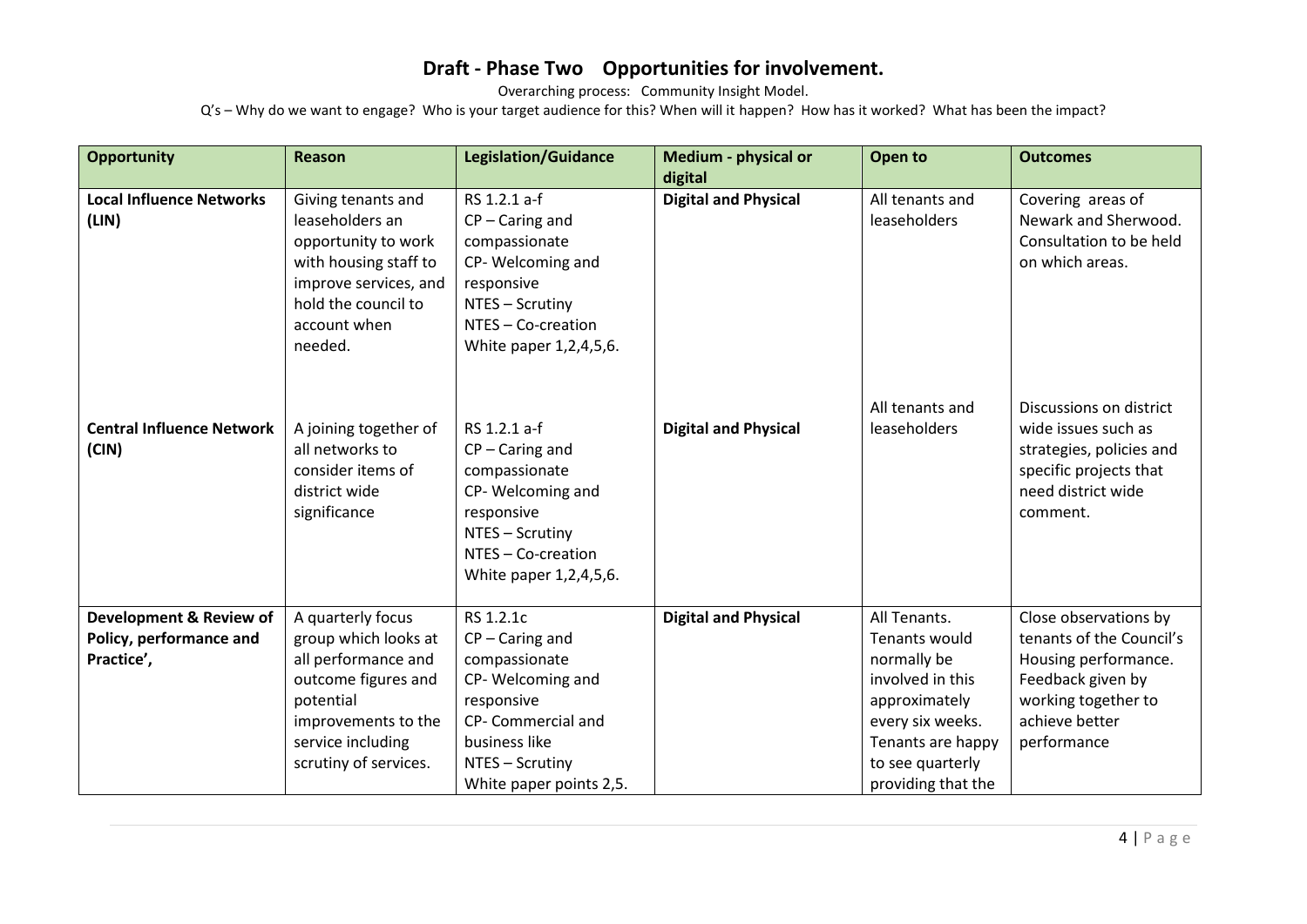Overarching process: Community Insight Model.

| <b>Opportunity</b>               | <b>Reason</b>         | <b>Legislation/Guidance</b> | Medium - physical or        | Open to            | <b>Outcomes</b>          |
|----------------------------------|-----------------------|-----------------------------|-----------------------------|--------------------|--------------------------|
|                                  |                       |                             | digital                     |                    |                          |
| <b>Local Influence Networks</b>  | Giving tenants and    | RS 1.2.1 a-f                | <b>Digital and Physical</b> | All tenants and    | Covering areas of        |
| (LIN)                            | leaseholders an       | $CP - Caring$ and           |                             | leaseholders       | Newark and Sherwood.     |
|                                  | opportunity to work   | compassionate               |                             |                    | Consultation to be held  |
|                                  | with housing staff to | CP-Welcoming and            |                             |                    | on which areas.          |
|                                  | improve services, and | responsive                  |                             |                    |                          |
|                                  | hold the council to   | NTES - Scrutiny             |                             |                    |                          |
|                                  | account when          | NTES - Co-creation          |                             |                    |                          |
|                                  | needed.               | White paper 1,2,4,5,6.      |                             |                    |                          |
|                                  |                       |                             |                             |                    |                          |
|                                  |                       |                             |                             | All tenants and    | Discussions on district  |
| <b>Central Influence Network</b> | A joining together of | RS 1.2.1 a-f                | <b>Digital and Physical</b> | leaseholders       | wide issues such as      |
| (CIN)                            | all networks to       | $CP - Caring$ and           |                             |                    | strategies, policies and |
|                                  | consider items of     | compassionate               |                             |                    | specific projects that   |
|                                  | district wide         | CP-Welcoming and            |                             |                    | need district wide       |
|                                  | significance          | responsive                  |                             |                    | comment.                 |
|                                  |                       | NTES - Scrutiny             |                             |                    |                          |
|                                  |                       | NTES - Co-creation          |                             |                    |                          |
|                                  |                       | White paper 1,2,4,5,6.      |                             |                    |                          |
|                                  |                       |                             |                             |                    |                          |
| Development & Review of          | A quarterly focus     | RS 1.2.1c                   | <b>Digital and Physical</b> | All Tenants.       | Close observations by    |
| Policy, performance and          | group which looks at  | $CP - Caring$ and           |                             | Tenants would      | tenants of the Council's |
| Practice',                       | all performance and   | compassionate               |                             | normally be        | Housing performance.     |
|                                  | outcome figures and   | CP-Welcoming and            |                             | involved in this   | Feedback given by        |
|                                  | potential             | responsive                  |                             | approximately      | working together to      |
|                                  | improvements to the   | CP- Commercial and          |                             | every six weeks.   | achieve better           |
|                                  | service including     | business like               |                             | Tenants are happy  | performance              |
|                                  | scrutiny of services. | NTES - Scrutiny             |                             | to see quarterly   |                          |
|                                  |                       | White paper points 2,5.     |                             | providing that the |                          |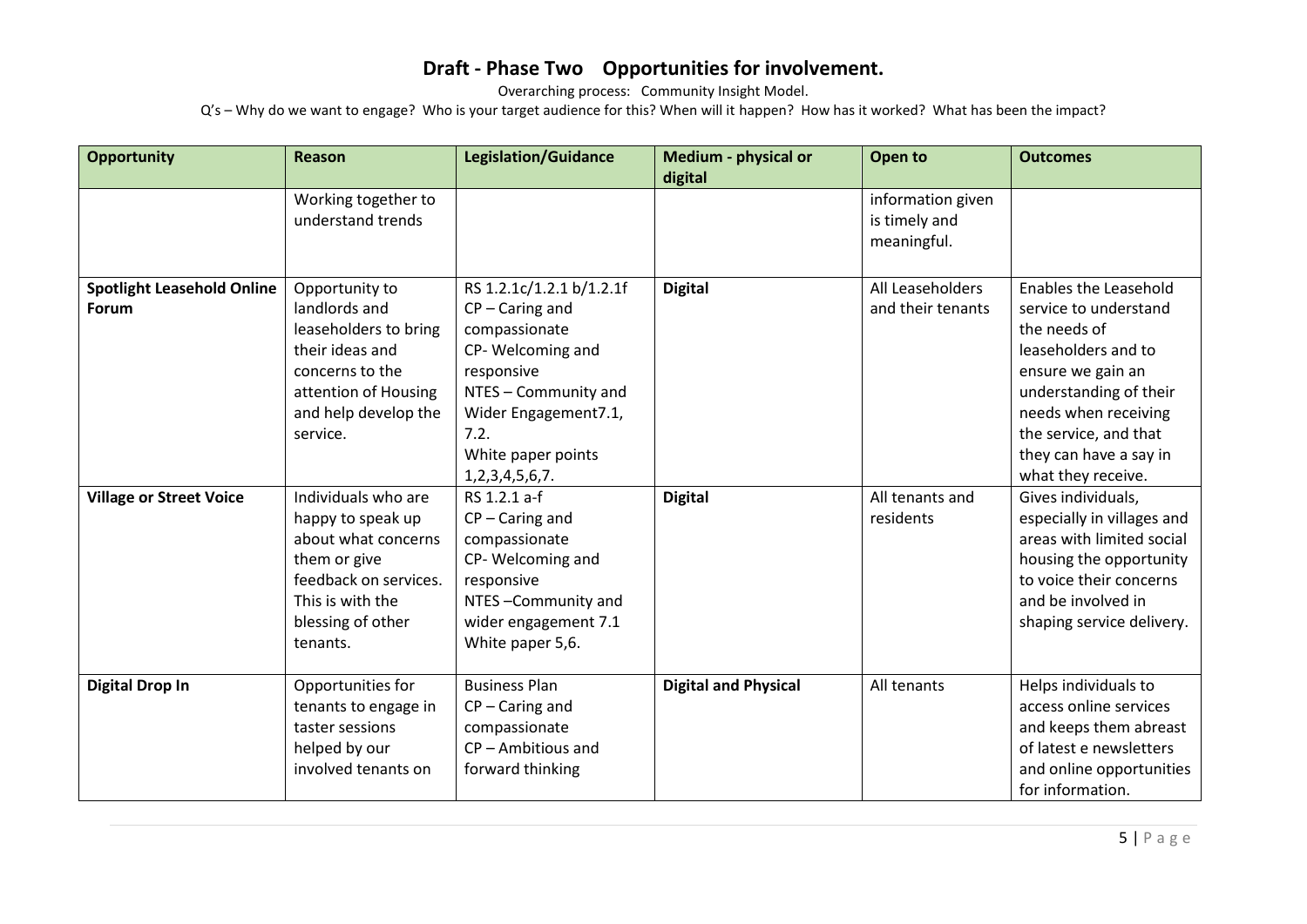Overarching process: Community Insight Model.

| <b>Opportunity</b>                | <b>Reason</b>         | <b>Legislation/Guidance</b> | Medium - physical or        | Open to           | <b>Outcomes</b>              |
|-----------------------------------|-----------------------|-----------------------------|-----------------------------|-------------------|------------------------------|
|                                   |                       |                             | digital                     |                   |                              |
|                                   | Working together to   |                             |                             | information given |                              |
|                                   | understand trends     |                             |                             | is timely and     |                              |
|                                   |                       |                             |                             | meaningful.       |                              |
|                                   |                       |                             |                             |                   |                              |
| <b>Spotlight Leasehold Online</b> | Opportunity to        | RS 1.2.1c/1.2.1 b/1.2.1f    | <b>Digital</b>              | All Leaseholders  | <b>Enables the Leasehold</b> |
| Forum                             | landlords and         | $CP - Caring$ and           |                             | and their tenants | service to understand        |
|                                   | leaseholders to bring | compassionate               |                             |                   | the needs of                 |
|                                   | their ideas and       | CP-Welcoming and            |                             |                   | leaseholders and to          |
|                                   | concerns to the       | responsive                  |                             |                   | ensure we gain an            |
|                                   | attention of Housing  | NTES - Community and        |                             |                   | understanding of their       |
|                                   | and help develop the  | Wider Engagement7.1,        |                             |                   | needs when receiving         |
|                                   | service.              | 7.2.                        |                             |                   | the service, and that        |
|                                   |                       | White paper points          |                             |                   | they can have a say in       |
|                                   |                       | 1, 2, 3, 4, 5, 6, 7.        |                             |                   | what they receive.           |
| <b>Village or Street Voice</b>    | Individuals who are   | RS 1.2.1 a-f                | <b>Digital</b>              | All tenants and   | Gives individuals,           |
|                                   | happy to speak up     | $CP - Caring$ and           |                             | residents         | especially in villages and   |
|                                   | about what concerns   | compassionate               |                             |                   | areas with limited social    |
|                                   | them or give          | CP-Welcoming and            |                             |                   | housing the opportunity      |
|                                   | feedback on services. | responsive                  |                             |                   | to voice their concerns      |
|                                   | This is with the      | NTES-Community and          |                             |                   | and be involved in           |
|                                   | blessing of other     | wider engagement 7.1        |                             |                   | shaping service delivery.    |
|                                   | tenants.              | White paper 5,6.            |                             |                   |                              |
|                                   |                       |                             |                             |                   |                              |
| <b>Digital Drop In</b>            | Opportunities for     | <b>Business Plan</b>        | <b>Digital and Physical</b> | All tenants       | Helps individuals to         |
|                                   | tenants to engage in  | $CP - Caring$ and           |                             |                   | access online services       |
|                                   | taster sessions       | compassionate               |                             |                   | and keeps them abreast       |
|                                   | helped by our         | $CP -$ Ambitious and        |                             |                   | of latest e newsletters      |
|                                   | involved tenants on   | forward thinking            |                             |                   | and online opportunities     |
|                                   |                       |                             |                             |                   | for information.             |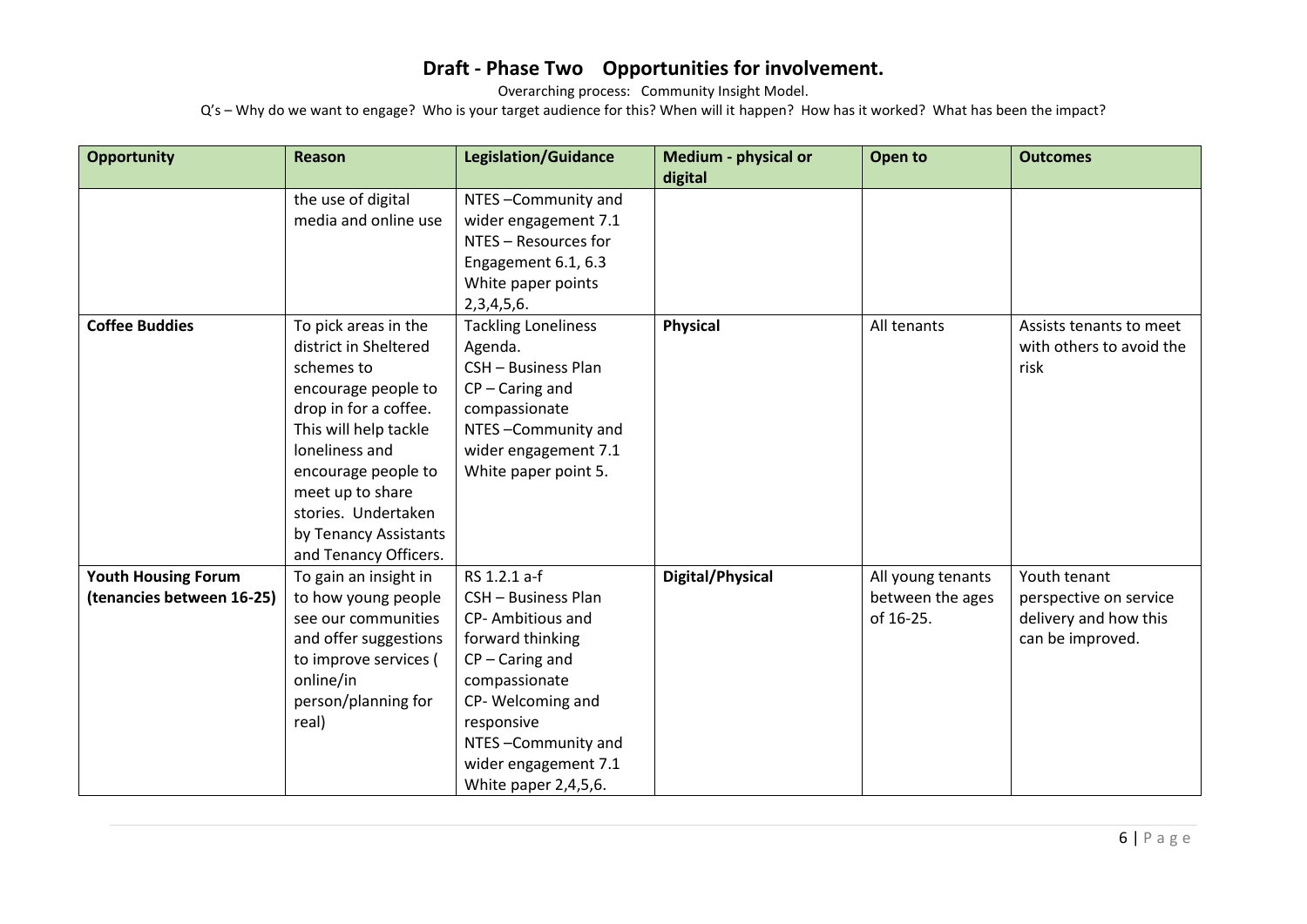Overarching process: Community Insight Model.

| <b>Opportunity</b>         | <b>Reason</b>         | <b>Legislation/Guidance</b> | <b>Medium - physical or</b> | Open to           | <b>Outcomes</b>          |
|----------------------------|-----------------------|-----------------------------|-----------------------------|-------------------|--------------------------|
|                            |                       |                             | digital                     |                   |                          |
|                            | the use of digital    | NTES-Community and          |                             |                   |                          |
|                            | media and online use  | wider engagement 7.1        |                             |                   |                          |
|                            |                       | NTES - Resources for        |                             |                   |                          |
|                            |                       | Engagement 6.1, 6.3         |                             |                   |                          |
|                            |                       | White paper points          |                             |                   |                          |
|                            |                       | 2,3,4,5,6.                  |                             |                   |                          |
| <b>Coffee Buddies</b>      | To pick areas in the  | <b>Tackling Loneliness</b>  | <b>Physical</b>             | All tenants       | Assists tenants to meet  |
|                            | district in Sheltered | Agenda.                     |                             |                   | with others to avoid the |
|                            | schemes to            | CSH - Business Plan         |                             |                   | risk                     |
|                            | encourage people to   | $CP - Caring$ and           |                             |                   |                          |
|                            | drop in for a coffee. | compassionate               |                             |                   |                          |
|                            | This will help tackle | NTES-Community and          |                             |                   |                          |
|                            | loneliness and        | wider engagement 7.1        |                             |                   |                          |
|                            | encourage people to   | White paper point 5.        |                             |                   |                          |
|                            | meet up to share      |                             |                             |                   |                          |
|                            | stories. Undertaken   |                             |                             |                   |                          |
|                            | by Tenancy Assistants |                             |                             |                   |                          |
|                            | and Tenancy Officers. |                             |                             |                   |                          |
| <b>Youth Housing Forum</b> | To gain an insight in | RS 1.2.1 a-f                | Digital/Physical            | All young tenants | Youth tenant             |
| (tenancies between 16-25)  | to how young people   | CSH - Business Plan         |                             | between the ages  | perspective on service   |
|                            | see our communities   | CP-Ambitious and            |                             | of 16-25.         | delivery and how this    |
|                            | and offer suggestions | forward thinking            |                             |                   | can be improved.         |
|                            | to improve services ( | $CP - Caring$ and           |                             |                   |                          |
|                            | online/in             | compassionate               |                             |                   |                          |
|                            | person/planning for   | CP-Welcoming and            |                             |                   |                          |
|                            | real)                 | responsive                  |                             |                   |                          |
|                            |                       | NTES-Community and          |                             |                   |                          |
|                            |                       | wider engagement 7.1        |                             |                   |                          |
|                            |                       | White paper 2,4,5,6.        |                             |                   |                          |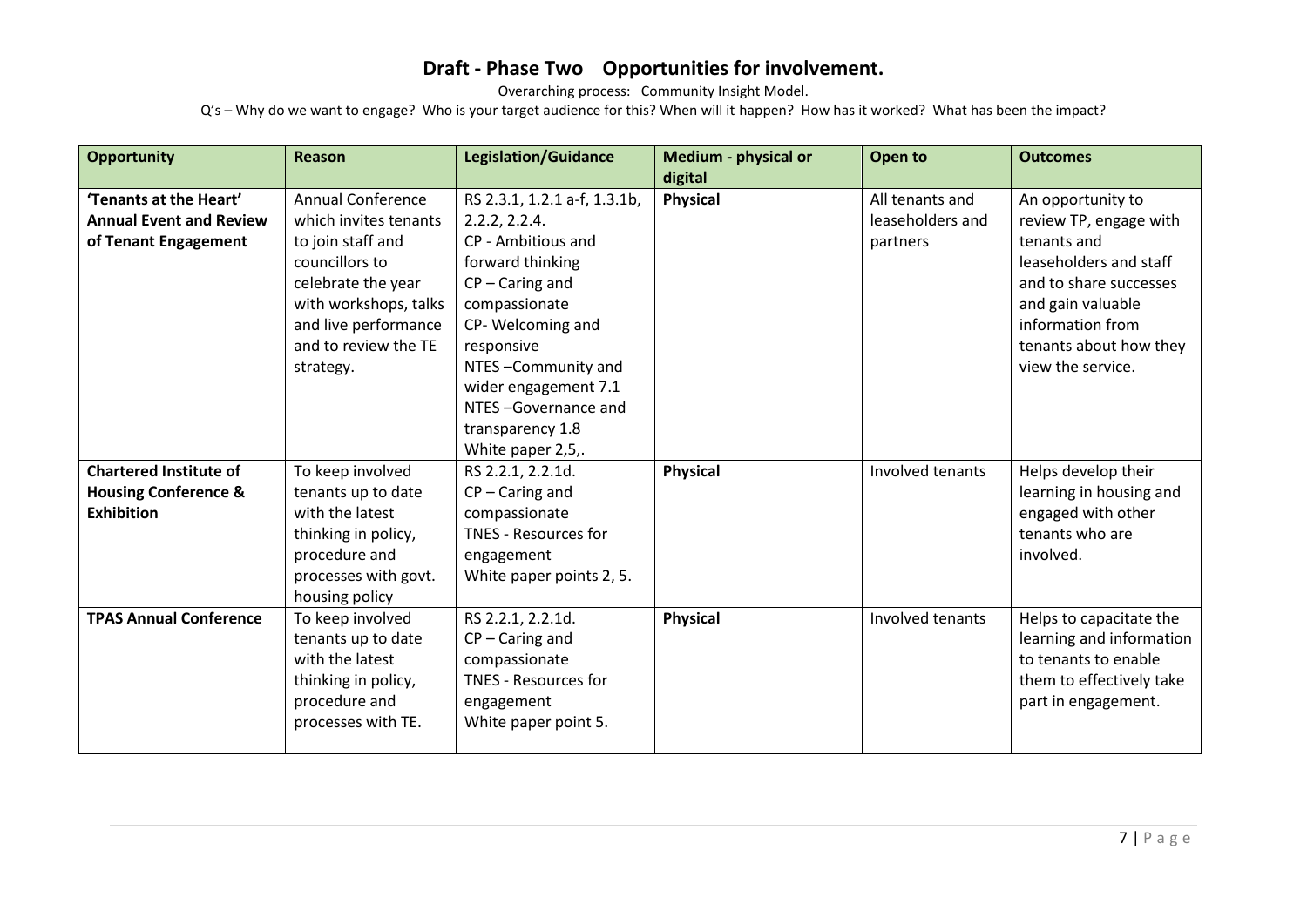Overarching process: Community Insight Model. Q's – Why do we want to engage? Who is your target audience for this? When will it happen? How has it worked? What has been the impact?

| <b>Opportunity</b>                                                                    | <b>Reason</b>                                                                                                                                                                                        | <b>Legislation/Guidance</b>                                                                                                                                                                                                                                                   | Medium - physical or<br>digital | Open to                                         | <b>Outcomes</b>                                                                                                                                                                                        |
|---------------------------------------------------------------------------------------|------------------------------------------------------------------------------------------------------------------------------------------------------------------------------------------------------|-------------------------------------------------------------------------------------------------------------------------------------------------------------------------------------------------------------------------------------------------------------------------------|---------------------------------|-------------------------------------------------|--------------------------------------------------------------------------------------------------------------------------------------------------------------------------------------------------------|
| 'Tenants at the Heart'<br><b>Annual Event and Review</b><br>of Tenant Engagement      | <b>Annual Conference</b><br>which invites tenants<br>to join staff and<br>councillors to<br>celebrate the year<br>with workshops, talks<br>and live performance<br>and to review the TE<br>strategy. | RS 2.3.1, 1.2.1 a-f, 1.3.1b,<br>2.2.2, 2.2.4.<br>CP - Ambitious and<br>forward thinking<br>$CP - Caring$ and<br>compassionate<br>CP-Welcoming and<br>responsive<br>NTES-Community and<br>wider engagement 7.1<br>NTES-Governance and<br>transparency 1.8<br>White paper 2,5,. | Physical                        | All tenants and<br>leaseholders and<br>partners | An opportunity to<br>review TP, engage with<br>tenants and<br>leaseholders and staff<br>and to share successes<br>and gain valuable<br>information from<br>tenants about how they<br>view the service. |
| <b>Chartered Institute of</b><br><b>Housing Conference &amp;</b><br><b>Exhibition</b> | To keep involved<br>tenants up to date<br>with the latest<br>thinking in policy,<br>procedure and<br>processes with govt.<br>housing policy                                                          | RS 2.2.1, 2.2.1d.<br>$CP - Caring$ and<br>compassionate<br><b>TNES - Resources for</b><br>engagement<br>White paper points 2, 5.                                                                                                                                              | <b>Physical</b>                 | Involved tenants                                | Helps develop their<br>learning in housing and<br>engaged with other<br>tenants who are<br>involved.                                                                                                   |
| <b>TPAS Annual Conference</b>                                                         | To keep involved<br>tenants up to date<br>with the latest<br>thinking in policy,<br>procedure and<br>processes with TE.                                                                              | RS 2.2.1, 2.2.1d.<br>$CP - Caring$ and<br>compassionate<br><b>TNES - Resources for</b><br>engagement<br>White paper point 5.                                                                                                                                                  | <b>Physical</b>                 | Involved tenants                                | Helps to capacitate the<br>learning and information<br>to tenants to enable<br>them to effectively take<br>part in engagement.                                                                         |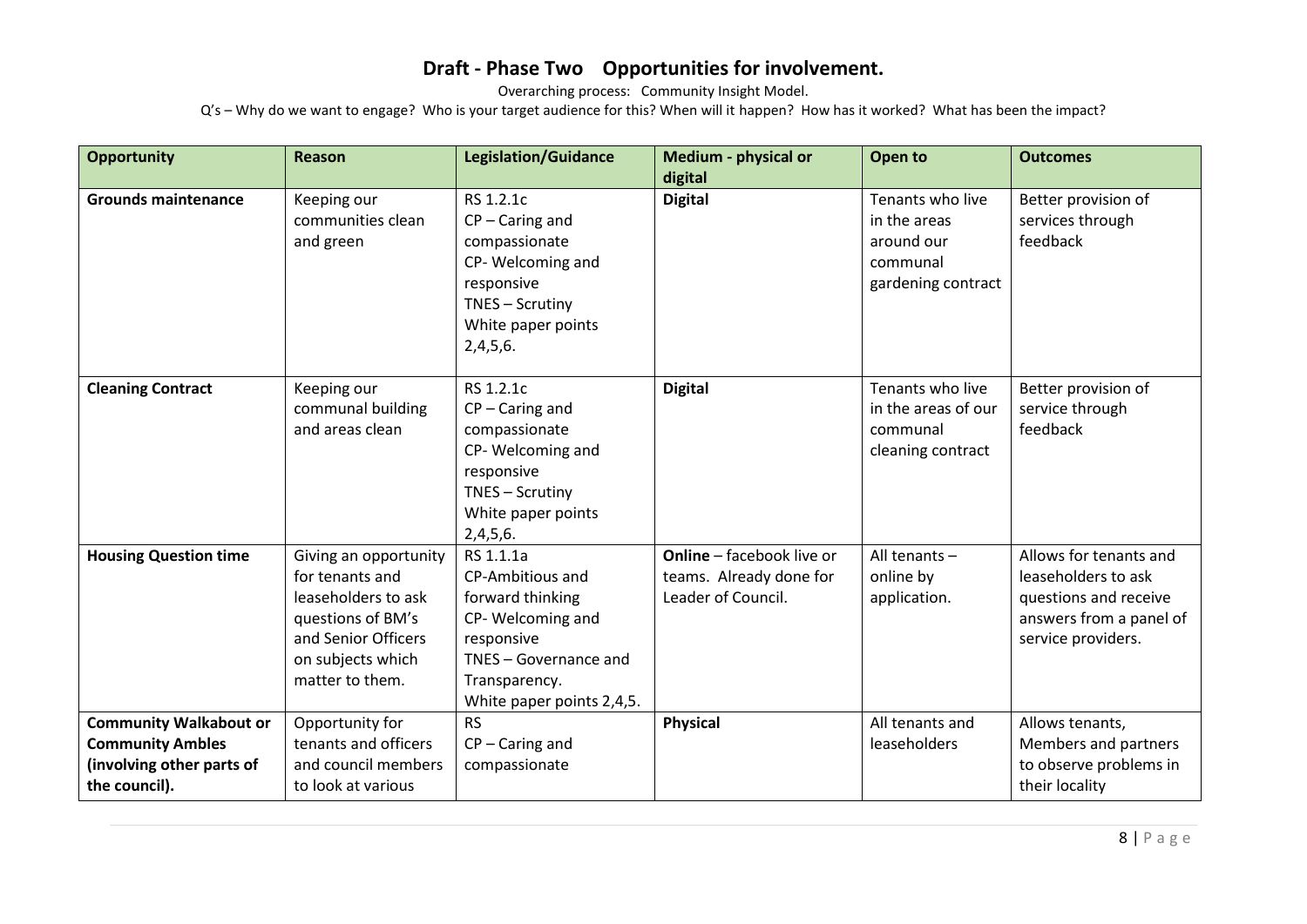Overarching process: Community Insight Model.

| <b>Opportunity</b>                                                                                     | Reason                                                                                                                                              | <b>Legislation/Guidance</b>                                                                                                                                | Medium - physical or<br>digital                                                   | Open to                                                                          | <b>Outcomes</b>                                                                                                         |
|--------------------------------------------------------------------------------------------------------|-----------------------------------------------------------------------------------------------------------------------------------------------------|------------------------------------------------------------------------------------------------------------------------------------------------------------|-----------------------------------------------------------------------------------|----------------------------------------------------------------------------------|-------------------------------------------------------------------------------------------------------------------------|
| <b>Grounds maintenance</b>                                                                             | Keeping our<br>communities clean<br>and green                                                                                                       | RS 1.2.1c<br>$CP - Caring$ and<br>compassionate<br>CP-Welcoming and<br>responsive<br>TNES - Scrutiny<br>White paper points<br>2,4,5,6.                     | <b>Digital</b>                                                                    | Tenants who live<br>in the areas<br>around our<br>communal<br>gardening contract | Better provision of<br>services through<br>feedback                                                                     |
| <b>Cleaning Contract</b>                                                                               | Keeping our<br>communal building<br>and areas clean                                                                                                 | RS 1.2.1c<br>$CP - Caring$ and<br>compassionate<br>CP-Welcoming and<br>responsive<br>TNES - Scrutiny<br>White paper points<br>2,4,5,6.                     | <b>Digital</b>                                                                    | Tenants who live<br>in the areas of our<br>communal<br>cleaning contract         | Better provision of<br>service through<br>feedback                                                                      |
| <b>Housing Question time</b>                                                                           | Giving an opportunity<br>for tenants and<br>leaseholders to ask<br>questions of BM's<br>and Senior Officers<br>on subjects which<br>matter to them. | RS 1.1.1a<br>CP-Ambitious and<br>forward thinking<br>CP-Welcoming and<br>responsive<br>TNES - Governance and<br>Transparency.<br>White paper points 2,4,5. | <b>Online</b> - facebook live or<br>teams. Already done for<br>Leader of Council. | All tenants $-$<br>online by<br>application.                                     | Allows for tenants and<br>leaseholders to ask<br>questions and receive<br>answers from a panel of<br>service providers. |
| <b>Community Walkabout or</b><br><b>Community Ambles</b><br>(involving other parts of<br>the council). | Opportunity for<br>tenants and officers<br>and council members<br>to look at various                                                                | <b>RS</b><br>$CP - Caring$ and<br>compassionate                                                                                                            | <b>Physical</b>                                                                   | All tenants and<br>leaseholders                                                  | Allows tenants,<br>Members and partners<br>to observe problems in<br>their locality                                     |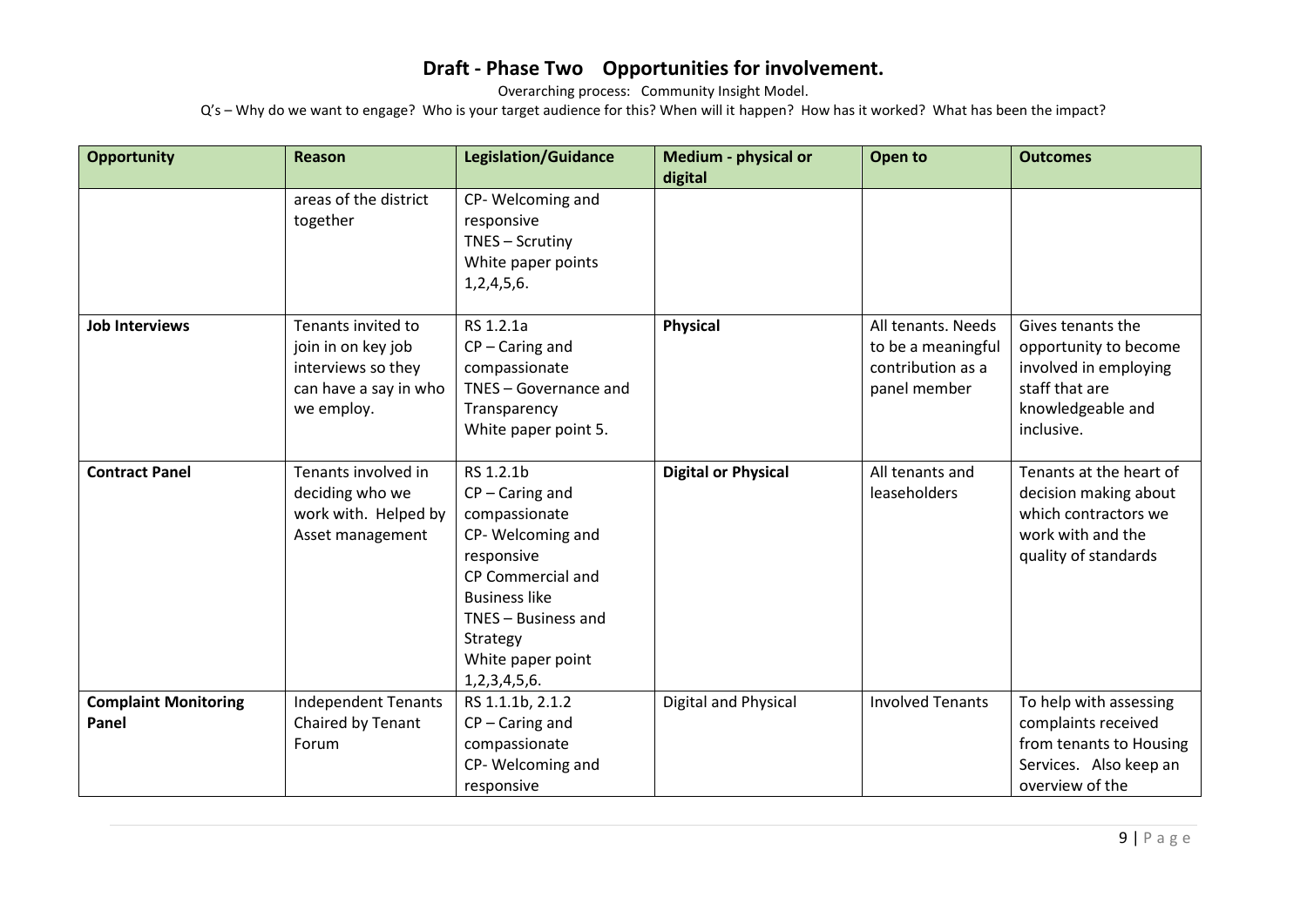Overarching process: Community Insight Model.

| <b>Opportunity</b>                   | <b>Reason</b>                                                                                         | <b>Legislation/Guidance</b>                                                                                                                                                                            | <b>Medium - physical or</b> | Open to                                                                       | <b>Outcomes</b>                                                                                                          |
|--------------------------------------|-------------------------------------------------------------------------------------------------------|--------------------------------------------------------------------------------------------------------------------------------------------------------------------------------------------------------|-----------------------------|-------------------------------------------------------------------------------|--------------------------------------------------------------------------------------------------------------------------|
|                                      | areas of the district<br>together                                                                     | CP-Welcoming and<br>responsive<br>TNES - Scrutiny<br>White paper points<br>1,2,4,5,6.                                                                                                                  | digital                     |                                                                               |                                                                                                                          |
| <b>Job Interviews</b>                | Tenants invited to<br>join in on key job<br>interviews so they<br>can have a say in who<br>we employ. | RS 1.2.1a<br>$CP - Caring$ and<br>compassionate<br>TNES - Governance and<br>Transparency<br>White paper point 5.                                                                                       | <b>Physical</b>             | All tenants. Needs<br>to be a meaningful<br>contribution as a<br>panel member | Gives tenants the<br>opportunity to become<br>involved in employing<br>staff that are<br>knowledgeable and<br>inclusive. |
| <b>Contract Panel</b>                | Tenants involved in<br>deciding who we<br>work with. Helped by<br>Asset management                    | RS 1.2.1b<br>$CP - Caring$ and<br>compassionate<br>CP-Welcoming and<br>responsive<br>CP Commercial and<br><b>Business like</b><br>TNES - Business and<br>Strategy<br>White paper point<br>1,2,3,4,5,6. | <b>Digital or Physical</b>  | All tenants and<br><b>leaseholders</b>                                        | Tenants at the heart of<br>decision making about<br>which contractors we<br>work with and the<br>quality of standards    |
| <b>Complaint Monitoring</b><br>Panel | <b>Independent Tenants</b><br>Chaired by Tenant<br>Forum                                              | RS 1.1.1b, 2.1.2<br>$CP - Caring$ and<br>compassionate<br>CP-Welcoming and<br>responsive                                                                                                               | <b>Digital and Physical</b> | <b>Involved Tenants</b>                                                       | To help with assessing<br>complaints received<br>from tenants to Housing<br>Services. Also keep an<br>overview of the    |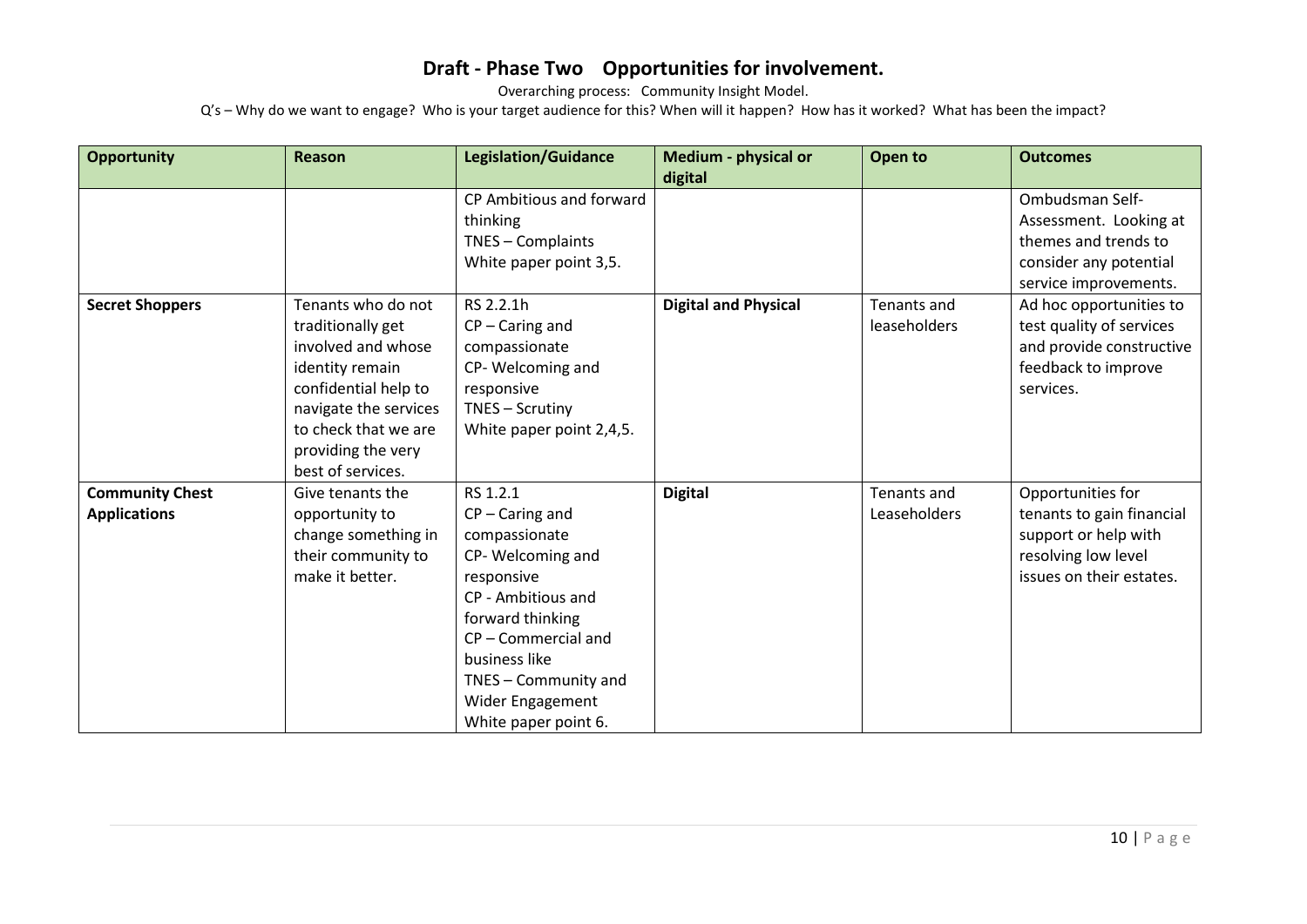Overarching process: Community Insight Model.

| <b>Opportunity</b>                            | <b>Reason</b>                                                                                                                                                                                        | <b>Legislation/Guidance</b>                                                                                                                                                                                                          | Medium - physical or<br>digital | Open to                            | <b>Outcomes</b>                                                                                                           |
|-----------------------------------------------|------------------------------------------------------------------------------------------------------------------------------------------------------------------------------------------------------|--------------------------------------------------------------------------------------------------------------------------------------------------------------------------------------------------------------------------------------|---------------------------------|------------------------------------|---------------------------------------------------------------------------------------------------------------------------|
|                                               |                                                                                                                                                                                                      | CP Ambitious and forward<br>thinking<br>TNES - Complaints<br>White paper point 3,5.                                                                                                                                                  |                                 |                                    | Ombudsman Self-<br>Assessment. Looking at<br>themes and trends to<br>consider any potential<br>service improvements.      |
| <b>Secret Shoppers</b>                        | Tenants who do not<br>traditionally get<br>involved and whose<br>identity remain<br>confidential help to<br>navigate the services<br>to check that we are<br>providing the very<br>best of services. | RS 2.2.1h<br>$CP - Caring$ and<br>compassionate<br>CP-Welcoming and<br>responsive<br>TNES - Scrutiny<br>White paper point 2,4,5.                                                                                                     | <b>Digital and Physical</b>     | Tenants and<br><b>leaseholders</b> | Ad hoc opportunities to<br>test quality of services<br>and provide constructive<br>feedback to improve<br>services.       |
| <b>Community Chest</b><br><b>Applications</b> | Give tenants the<br>opportunity to<br>change something in<br>their community to<br>make it better.                                                                                                   | RS 1.2.1<br>$CP - Caring$ and<br>compassionate<br>CP-Welcoming and<br>responsive<br>CP - Ambitious and<br>forward thinking<br>CP-Commercial and<br>business like<br>TNES - Community and<br>Wider Engagement<br>White paper point 6. | <b>Digital</b>                  | Tenants and<br>Leaseholders        | Opportunities for<br>tenants to gain financial<br>support or help with<br>resolving low level<br>issues on their estates. |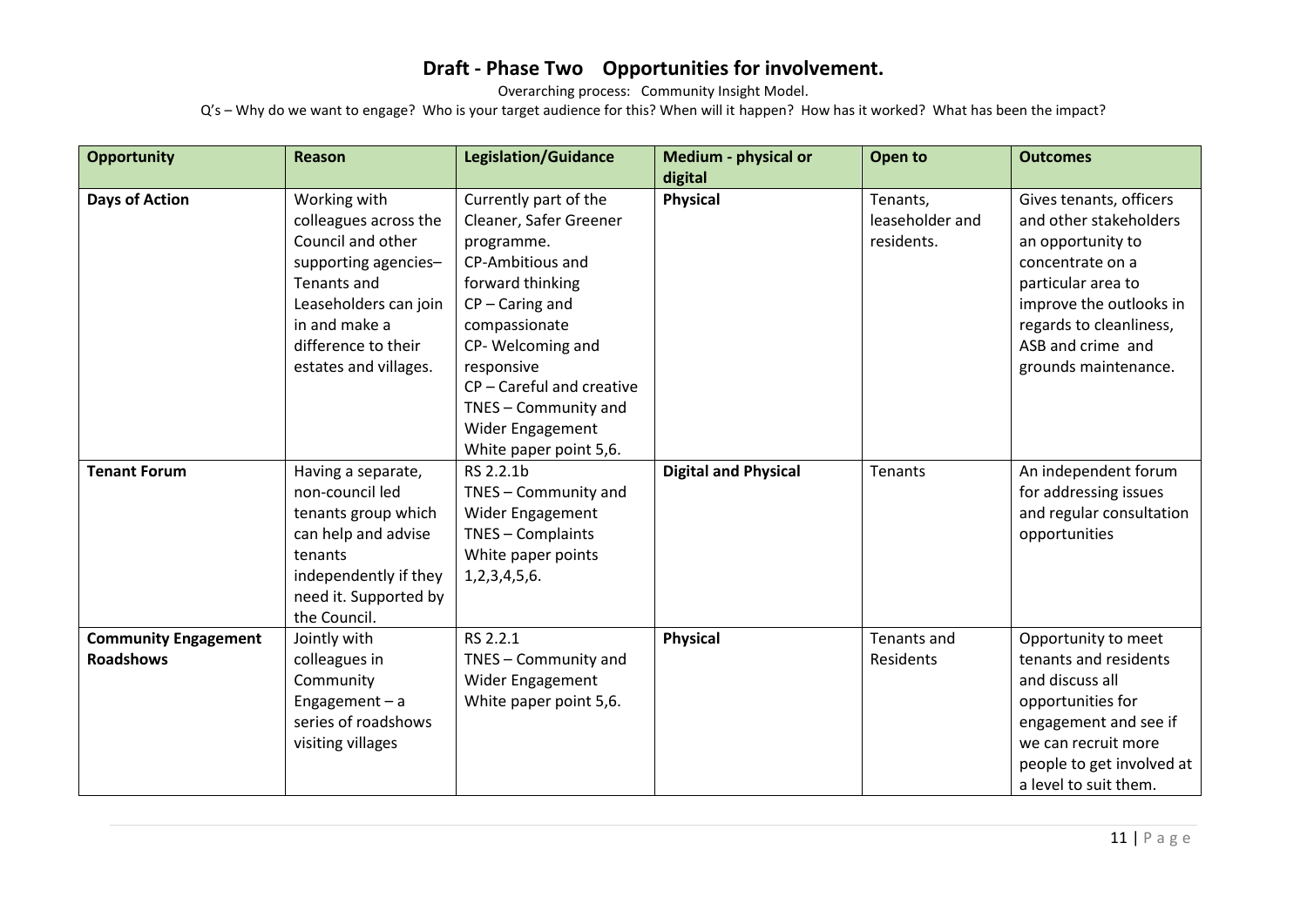Overarching process: Community Insight Model.

| <b>Opportunity</b>          | Reason                | <b>Legislation/Guidance</b> | Medium - physical or        | Open to         | <b>Outcomes</b>           |
|-----------------------------|-----------------------|-----------------------------|-----------------------------|-----------------|---------------------------|
|                             |                       |                             | digital                     |                 |                           |
| <b>Days of Action</b>       | Working with          | Currently part of the       | <b>Physical</b>             | Tenants,        | Gives tenants, officers   |
|                             | colleagues across the | Cleaner, Safer Greener      |                             | leaseholder and | and other stakeholders    |
|                             | Council and other     | programme.                  |                             | residents.      | an opportunity to         |
|                             | supporting agencies-  | CP-Ambitious and            |                             |                 | concentrate on a          |
|                             | Tenants and           | forward thinking            |                             |                 | particular area to        |
|                             | Leaseholders can join | $CP - Caring$ and           |                             |                 | improve the outlooks in   |
|                             | in and make a         | compassionate               |                             |                 | regards to cleanliness,   |
|                             | difference to their   | CP-Welcoming and            |                             |                 | ASB and crime and         |
|                             | estates and villages. | responsive                  |                             |                 | grounds maintenance.      |
|                             |                       | CP - Careful and creative   |                             |                 |                           |
|                             |                       | TNES - Community and        |                             |                 |                           |
|                             |                       | Wider Engagement            |                             |                 |                           |
|                             |                       | White paper point 5,6.      |                             |                 |                           |
| <b>Tenant Forum</b>         | Having a separate,    | RS 2.2.1b                   | <b>Digital and Physical</b> | Tenants         | An independent forum      |
|                             | non-council led       | TNES - Community and        |                             |                 | for addressing issues     |
|                             | tenants group which   | Wider Engagement            |                             |                 | and regular consultation  |
|                             | can help and advise   | TNES - Complaints           |                             |                 | opportunities             |
|                             | tenants               | White paper points          |                             |                 |                           |
|                             | independently if they | 1, 2, 3, 4, 5, 6.           |                             |                 |                           |
|                             | need it. Supported by |                             |                             |                 |                           |
|                             | the Council.          |                             |                             |                 |                           |
| <b>Community Engagement</b> | Jointly with          | RS 2.2.1                    | <b>Physical</b>             | Tenants and     | Opportunity to meet       |
| <b>Roadshows</b>            | colleagues in         | TNES - Community and        |                             | Residents       | tenants and residents     |
|                             | Community             | Wider Engagement            |                             |                 | and discuss all           |
|                             | Engagement $-$ a      | White paper point 5,6.      |                             |                 | opportunities for         |
|                             | series of roadshows   |                             |                             |                 | engagement and see if     |
|                             | visiting villages     |                             |                             |                 | we can recruit more       |
|                             |                       |                             |                             |                 | people to get involved at |
|                             |                       |                             |                             |                 | a level to suit them.     |